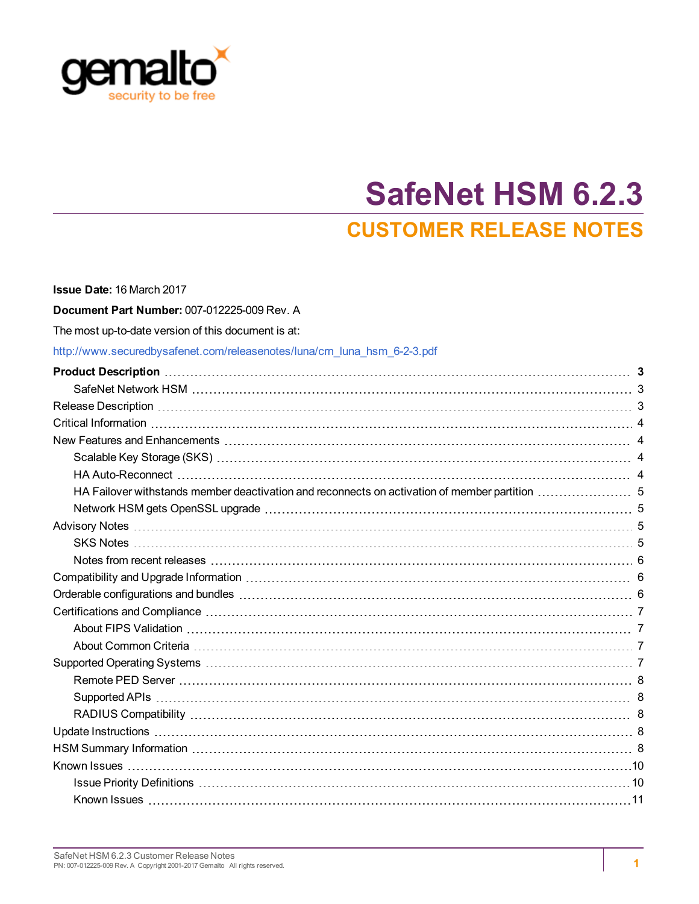

# **SafeNet HSM 6.2.3 CUSTOMER RELEASE NOTES**

| Issue Date: 16 March 2017                                                |  |
|--------------------------------------------------------------------------|--|
| Document Part Number: 007-012225-009 Rev. A                              |  |
| The most up-to-date version of this document is at:                      |  |
| http://www.securedbysafenet.com/releasenotes/luna/crn luna hsm 6-2-3.pdf |  |
|                                                                          |  |
|                                                                          |  |
|                                                                          |  |
|                                                                          |  |
|                                                                          |  |
|                                                                          |  |
|                                                                          |  |
|                                                                          |  |
|                                                                          |  |
|                                                                          |  |
|                                                                          |  |
|                                                                          |  |
|                                                                          |  |
|                                                                          |  |
|                                                                          |  |
|                                                                          |  |
|                                                                          |  |
|                                                                          |  |
|                                                                          |  |
|                                                                          |  |
|                                                                          |  |
|                                                                          |  |
|                                                                          |  |
|                                                                          |  |
|                                                                          |  |
|                                                                          |  |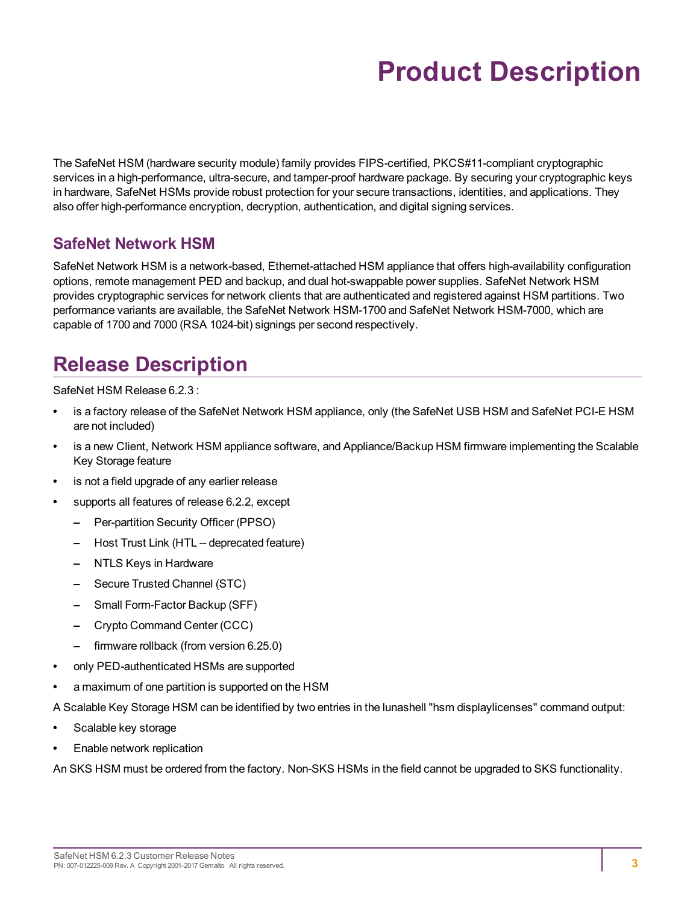# **Product Description**

<span id="page-2-0"></span>The SafeNet HSM (hardware security module) family provides FIPS-certified, PKCS#11-compliant cryptographic services in a high-performance, ultra-secure, and tamper-proof hardware package. By securing your cryptographic keys in hardware, SafeNet HSMs provide robust protection for your secure transactions, identities, and applications. They also offer high-performance encryption, decryption, authentication, and digital signing services.

### <span id="page-2-1"></span>**SafeNet Network HSM**

SafeNet Network HSM is a network-based, Ethernet-attached HSM appliance that offers high-availability configuration options, remote management PED and backup, and dual hot-swappable power supplies. SafeNet Network HSM provides cryptographic services for network clients that are authenticated and registered against HSM partitions. Two performance variants are available, the SafeNet Network HSM-1700 and SafeNet Network HSM-7000, which are capable of 1700 and 7000 (RSA 1024-bit) signings per second respectively.

# <span id="page-2-2"></span>**Release Description**

SafeNet HSM Release 6.2.3 :

- **•** is a factory release of the SafeNet Network HSM appliance, only (the SafeNet USB HSM and SafeNet PCI-E HSM are not included)
- **•** is a new Client, Network HSM appliance software, and Appliance/Backup HSM firmware implementing the Scalable Key Storage feature
- **•** is not a field upgrade of any earlier release
- **•** supports all features of release 6.2.2, except
	- **–** Per-partition Security Officer (PPSO)
	- **–** Host Trust Link (HTL -- deprecated feature)
	- **–** NTLS Keys in Hardware
	- **–** Secure Trusted Channel (STC)
	- **–** Small Form-Factor Backup (SFF)
	- **–** Crypto Command Center (CCC)
	- **–** firmware rollback (from version 6.25.0)
- **•** only PED-authenticated HSMs are supported
- **•** a maximum of one partition is supported on the HSM

A Scalable Key Storage HSM can be identified by two entries in the lunashell "hsm displaylicenses" command output:

- **•** Scalable key storage
- **•** Enable network replication

An SKS HSM must be ordered from the factory. Non-SKS HSMs in the field cannot be upgraded to SKS functionality.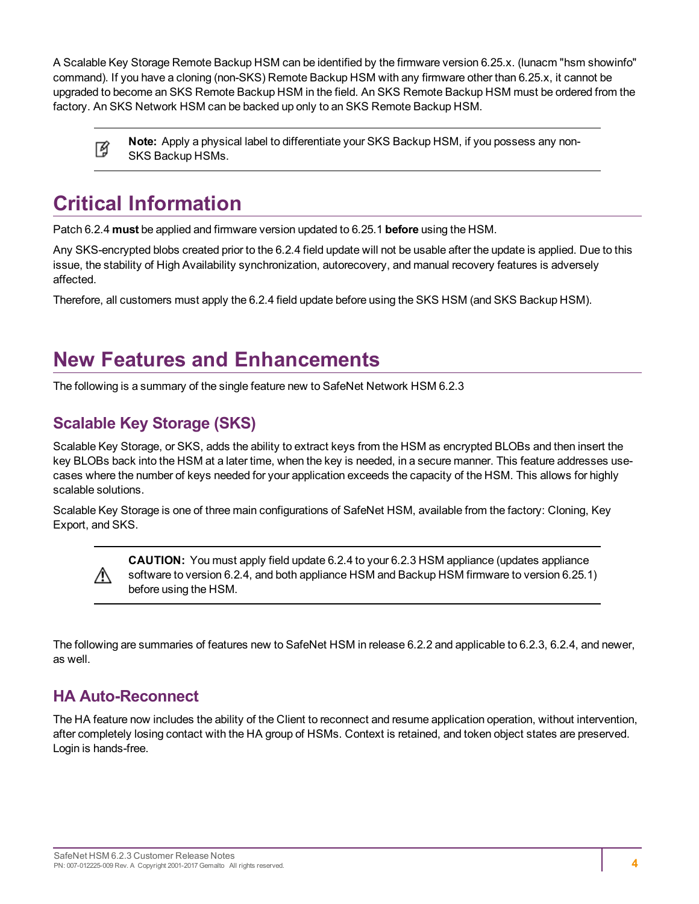A Scalable Key Storage Remote Backup HSM can be identified by the firmware version 6.25.x. (lunacm "hsm showinfo" command). If you have a cloning (non-SKS) Remote Backup HSM with any firmware other than 6.25.x, it cannot be upgraded to become an SKS Remote Backup HSM in the field. An SKS Remote Backup HSM must be ordered from the factory. An SKS Network HSM can be backed up only to an SKS Remote Backup HSM.

**Note:** Apply a physical label to differentiate your SKS Backup HSM, if you possess any non-放 SKS Backup HSMs.

# <span id="page-3-0"></span>**Critical Information**

Patch 6.2.4 **must** be applied and firmware version updated to 6.25.1 **before** using the HSM.

Any SKS-encrypted blobs created prior to the 6.2.4 field update will not be usable after the update is applied. Due to this issue, the stability of High Availability synchronization, autorecovery, and manual recovery features is adversely affected.

Therefore, all customers must apply the 6.2.4 field update before using the SKS HSM (and SKS Backup HSM).

# <span id="page-3-1"></span>**New Features and Enhancements**

<span id="page-3-2"></span>The following is a summary of the single feature new to SafeNet Network HSM 6.2.3

## **Scalable Key Storage (SKS)**

Scalable Key Storage, or SKS, adds the ability to extract keys from the HSM as encrypted BLOBs and then insert the key BLOBs back into the HSM at a later time, when the key is needed, in a secure manner. This feature addresses usecases where the number of keys needed for your application exceeds the capacity of the HSM. This allows for highly scalable solutions.

Scalable Key Storage is one of three main configurations of SafeNet HSM, available from the factory: Cloning, Key Export, and SKS.

> **CAUTION:** You must apply field update 6.2.4 to your 6.2.3 HSM appliance (updates appliance software to version 6.2.4, and both appliance HSM and Backup HSM firmware to version 6.25.1) before using the HSM.

The following are summaries of features new to SafeNet HSM in release 6.2.2 and applicable to 6.2.3, 6.2.4, and newer, as well.

### <span id="page-3-3"></span>**HA Auto-Reconnect**

∧

The HA feature now includes the ability of the Client to reconnect and resume application operation, without intervention, after completely losing contact with the HA group of HSMs. Context is retained, and token object states are preserved. Login is hands-free.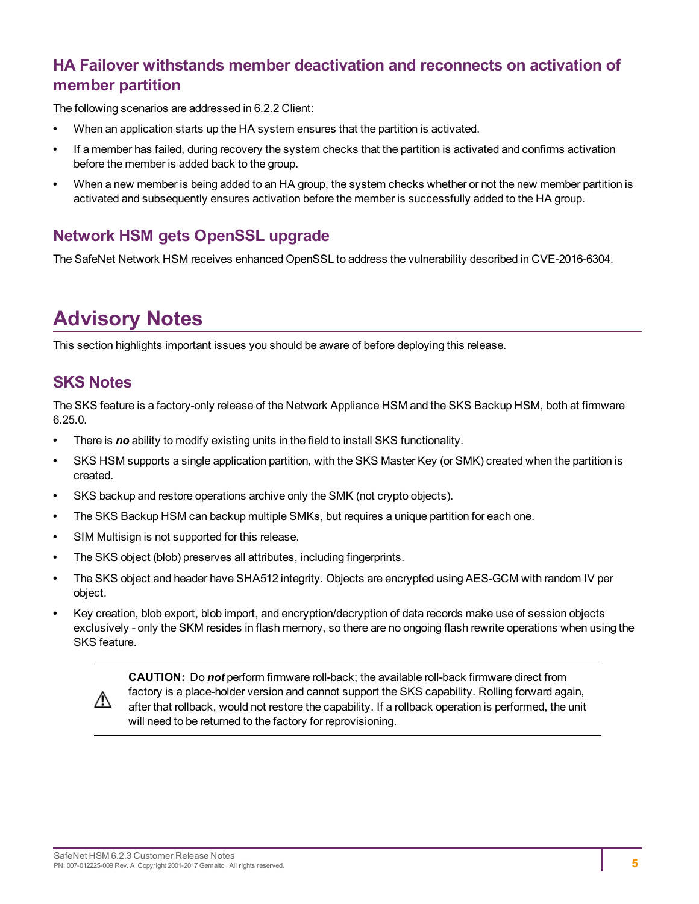### <span id="page-4-0"></span>**HA Failover withstands member deactivation and reconnects on activation of member partition**

The following scenarios are addressed in 6.2.2 Client:

- **•** When an application starts up the HA system ensures that the partition is activated.
- **•** If a member has failed, during recovery the system checks that the partition is activated and confirms activation before the member is added back to the group.
- **•** When a new member is being added to an HA group, the system checks whether or not the new member partition is activated and subsequently ensures activation before the member is successfully added to the HA group.

### <span id="page-4-1"></span>**Network HSM gets OpenSSL upgrade**

The SafeNet Network HSM receives enhanced OpenSSL to address the vulnerability described in CVE-2016-6304.

# <span id="page-4-2"></span>**Advisory Notes**

<span id="page-4-3"></span>This section highlights important issues you should be aware of before deploying this release.

#### **SKS Notes**

The SKS feature is a factory-only release of the Network Appliance HSM and the SKS Backup HSM, both at firmware 6.25.0.

- **•** There is *no* ability to modify existing units in the field to install SKS functionality.
- **•** SKS HSM supports a single application partition, with the SKS Master Key (or SMK) created when the partition is created.
- **•** SKS backup and restore operations archive only the SMK (not crypto objects).
- **•** The SKS Backup HSM can backup multiple SMKs, but requires a unique partition for each one.
- **•** SIM Multisign is not supported for this release.
- **•** The SKS object (blob) preserves all attributes, including fingerprints.
- **•** The SKS object and header have SHA512 integrity. Objects are encrypted using AES-GCM with random IV per object.
- **•** Key creation, blob export, blob import, and encryption/decryption of data records make use of session objects exclusively - only the SKM resides in flash memory, so there are no ongoing flash rewrite operations when using the SKS feature.



**CAUTION:** Do *not* perform firmware roll-back; the available roll-back firmware direct from factory is a place-holder version and cannot support the SKS capability. Rolling forward again, after that rollback, would not restore the capability. If a rollback operation is performed, the unit will need to be returned to the factory for reprovisioning.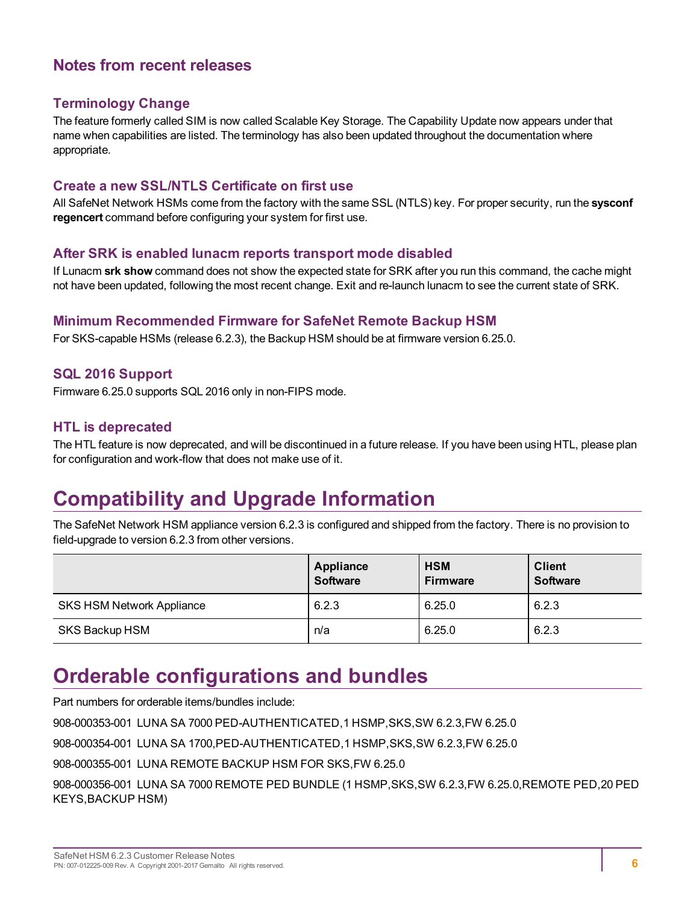### <span id="page-5-0"></span>**Notes from recent releases**

#### **Terminology Change**

The feature formerly called SIM is now called Scalable Key Storage. The Capability Update now appears under that name when capabilities are listed. The terminology has also been updated throughout the documentation where appropriate.

#### **Create a new SSL/NTLS Certificate on first use**

All SafeNet Network HSMs come from the factory with the same SSL (NTLS) key. For proper security, run the **sysconf regencert** command before configuring your system for first use.

#### **After SRK is enabled lunacm reports transport mode disabled**

If Lunacm **srk show** command does not show the expected state for SRK after you run this command, the cache might not have been updated, following the most recent change. Exit and re-launch lunacm to see the current state of SRK.

#### **Minimum Recommended Firmware for SafeNet Remote Backup HSM**

For SKS-capable HSMs (release 6.2.3), the Backup HSM should be at firmware version 6.25.0.

#### **SQL 2016 Support**

Firmware 6.25.0 supports SQL 2016 only in non-FIPS mode.

#### **HTL is deprecated**

<span id="page-5-1"></span>The HTL feature is now deprecated, and will be discontinued in a future release. If you have been using HTL, please plan for configuration and work-flow that does not make use of it.

# **Compatibility and Upgrade Information**

The SafeNet Network HSM appliance version 6.2.3 is configured and shipped from the factory. There is no provision to field-upgrade to version 6.2.3 from other versions.

|                                  | Appliance<br><b>Software</b> | <b>HSM</b><br><b>Firmware</b> | <b>Client</b><br><b>Software</b> |
|----------------------------------|------------------------------|-------------------------------|----------------------------------|
| <b>SKS HSM Network Appliance</b> | 6.2.3                        | 6.25.0                        | 6.2.3                            |
| SKS Backup HSM                   | n/a                          | 6.25.0                        | 6.2.3                            |

# <span id="page-5-2"></span>**Orderable configurations and bundles**

Part numbers for orderable items/bundles include: 908-000353-001 LUNA SA 7000 PED-AUTHENTICATED,1 HSMP,SKS,SW 6.2.3,FW 6.25.0 908-000354-001 LUNA SA 1700,PED-AUTHENTICATED,1 HSMP,SKS,SW 6.2.3,FW 6.25.0 908-000355-001 LUNA REMOTE BACKUP HSM FOR SKS,FW 6.25.0 908-000356-001 LUNA SA 7000 REMOTE PED BUNDLE (1 HSMP,SKS,SW 6.2.3,FW 6.25.0,REMOTE PED,20 PED KEYS,BACKUP HSM)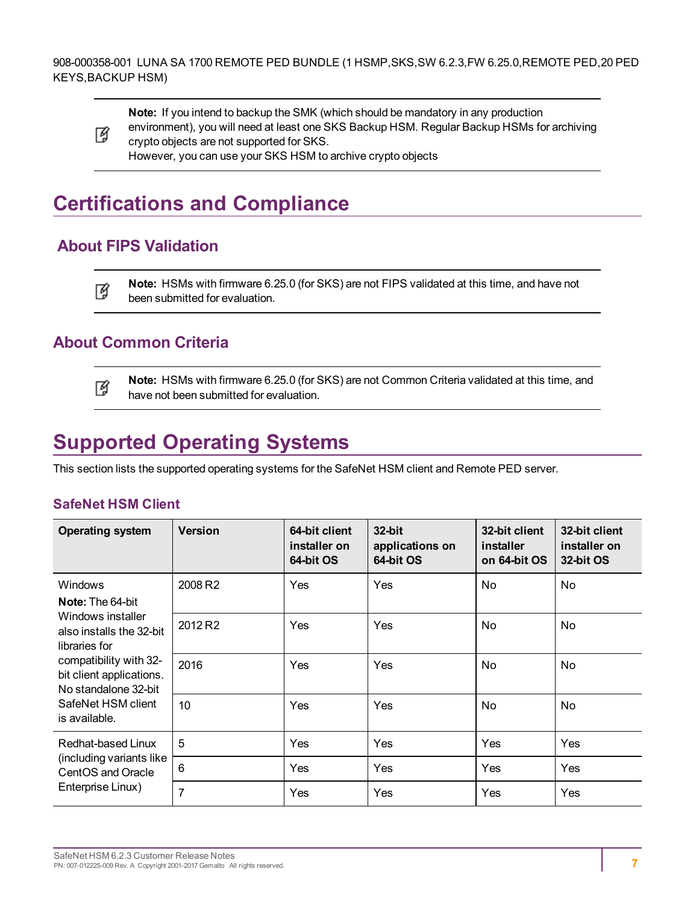

**Note:** If you intend to backup the SMK (which should be mandatory in any production environment), you will need at least one SKS Backup HSM. Regular Backup HSMs for archiving crypto objects are not supported for SKS. However, you can use your SKS HSM to archive crypto objects

# <span id="page-6-0"></span>**Certifications and Compliance**

## <span id="page-6-1"></span>**About FIPS Validation**

**Note:** HSMs with firmware 6.25.0 (for SKS) are not FIPS validated at this time, and have not 冏 been submitted for evaluation.

### <span id="page-6-2"></span>**About Common Criteria**

**Note:** HSMs with firmware 6.25.0 (for SKS) are not Common Criteria validated at this time, and 冏 have not been submitted for evaluation.

# <span id="page-6-3"></span>**Supported Operating Systems**

This section lists the supported operating systems for the SafeNet HSM client and Remote PED server.

#### **SafeNet HSM Client**

| <b>Operating system</b>                                                                                                                                                             | <b>Version</b>      | 64-bit client<br>installer on<br>64-bit OS | 32-bit<br>applications on<br>64-bit OS | 32-bit client<br>installer<br>on 64-bit OS | 32-bit client<br>installer on<br>32-bit OS |
|-------------------------------------------------------------------------------------------------------------------------------------------------------------------------------------|---------------------|--------------------------------------------|----------------------------------------|--------------------------------------------|--------------------------------------------|
| <b>Windows</b>                                                                                                                                                                      | 2008 R2             | Yes                                        | Yes                                    | No.                                        | No                                         |
| <b>Note:</b> The 64-bit                                                                                                                                                             |                     |                                            |                                        |                                            |                                            |
| Windows installer<br>also installs the 32-bit<br>libraries for<br>compatibility with 32-<br>bit client applications.<br>No standalone 32-bit<br>SafeNet HSM client<br>is available. | 2012 R <sub>2</sub> | Yes                                        | Yes                                    | No.                                        | No.                                        |
|                                                                                                                                                                                     | 2016                | Yes                                        | Yes                                    | No.                                        | No.                                        |
|                                                                                                                                                                                     | 10                  | Yes                                        | Yes                                    | No                                         | No.                                        |
| Redhat-based Linux<br>(including variants like<br>CentOS and Oracle<br>Enterprise Linux)                                                                                            | 5                   | Yes                                        | Yes                                    | Yes                                        | Yes                                        |
|                                                                                                                                                                                     | 6                   | Yes                                        | Yes                                    | Yes                                        | Yes                                        |
|                                                                                                                                                                                     | 7                   | Yes                                        | Yes                                    | Yes                                        | Yes                                        |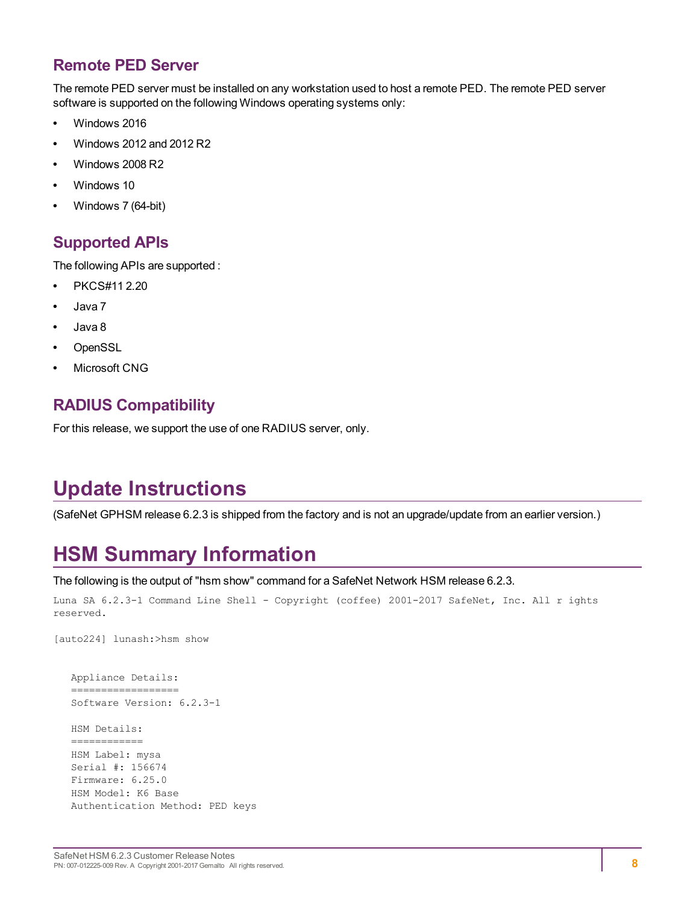### <span id="page-7-0"></span>**Remote PED Server**

The remote PED server must be installed on any workstation used to host a remote PED. The remote PED server software is supported on the following Windows operating systems only:

- **•** Windows 2016
- **•** Windows 2012 and 2012 R2
- **•** Windows 2008 R2
- **•** Windows 10
- <span id="page-7-1"></span>**•** Windows 7 (64-bit)

#### **Supported APIs**

The following APIs are supported :

- **•** PKCS#11 2.20
- **•** Java 7
- **•** Java 8
- **•** OpenSSL
- <span id="page-7-2"></span>**•** Microsoft CNG

### **RADIUS Compatibility**

For this release, we support the use of one RADIUS server, only.

# <span id="page-7-3"></span>**Update Instructions**

<span id="page-7-4"></span>(SafeNet GPHSM release 6.2.3 is shipped from the factory and is not an upgrade/update from an earlier version.)

# **HSM Summary Information**

#### The following is the output of "hsm show" command for a SafeNet Network HSM release 6.2.3.

```
Luna SA 6.2.3-1 Command Line Shell - Copyright (coffee) 2001-2017 SafeNet, Inc. All r ights
reserved.
```
[auto224] lunash:>hsm show

```
   Appliance Details:
   ==================
   Software Version: 6.2.3-1
   HSM Details:
   ============
   HSM Label: mysa
   Serial #: 156674
   Firmware: 6.25.0
   HSM Model: K6 Base
```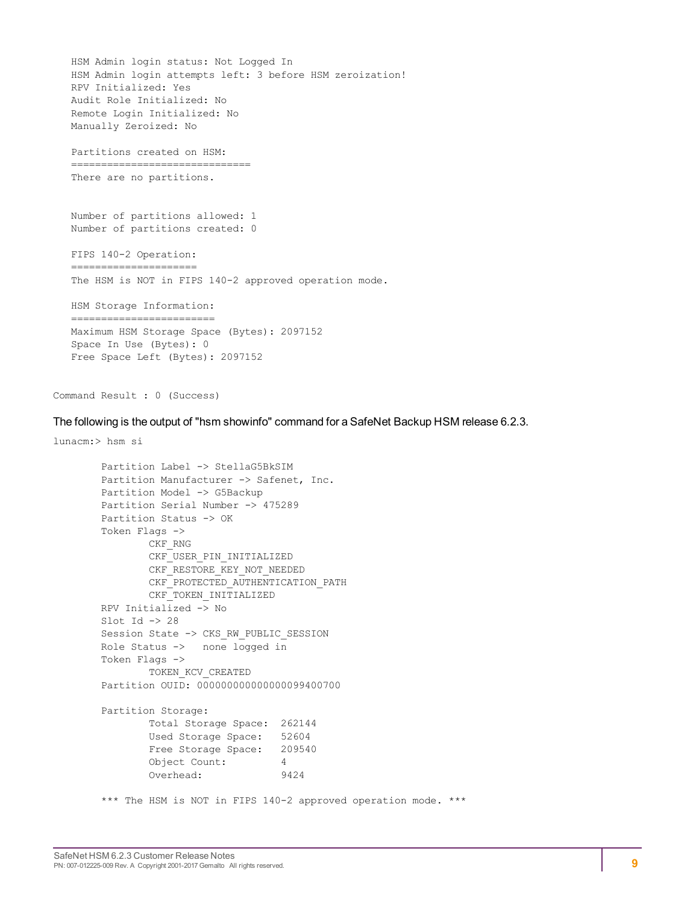HSM Admin login status: Not Logged In HSM Admin login attempts left: 3 before HSM zeroization! RPV Initialized: Yes Audit Role Initialized: No Remote Login Initialized: No Manually Zeroized: No Partitions created on HSM: ============================== There are no partitions. Number of partitions allowed: 1 Number of partitions created: 0 FIPS 140-2 Operation: ===================== The HSM is NOT in FIPS 140-2 approved operation mode. HSM Storage Information: ======================== Maximum HSM Storage Space (Bytes): 2097152 Space In Use (Bytes): 0 Free Space Left (Bytes): 2097152

Command Result : 0 (Success)

The following is the output of "hsm showinfo" command for a SafeNet Backup HSM release 6.2.3.

```
lunacm:> hsm si
       Partition Label -> StellaG5BkSIM
       Partition Manufacturer -> Safenet, Inc.
       Partition Model -> G5Backup
       Partition Serial Number -> 475289
       Partition Status -> OK
       Token Flags ->
               CKF_RNG
               CKF USER PIN INITIALIZED
               CKF_RESTORE_KEY_NOT_NEEDED
               CKF_PROTECTED_AUTHENTICATION_PATH
               CKF_TOKEN_INITIALIZED
       RPV Initialized -> No
       Slot Id \rightarrow 28
       Session State -> CKS_RW_PUBLIC_SESSION
       Role Status -> none logged in
       Token Flags ->
               TOKEN_KCV_CREATED
       Partition OUID: 000000000000000099400700
       Partition Storage:
               Total Storage Space: 262144
               Used Storage Space: 52604
               Free Storage Space: 209540
               Object Count: 4
               Overhead: 9424
       *** The HSM is NOT in FIPS 140-2 approved operation mode. ***
```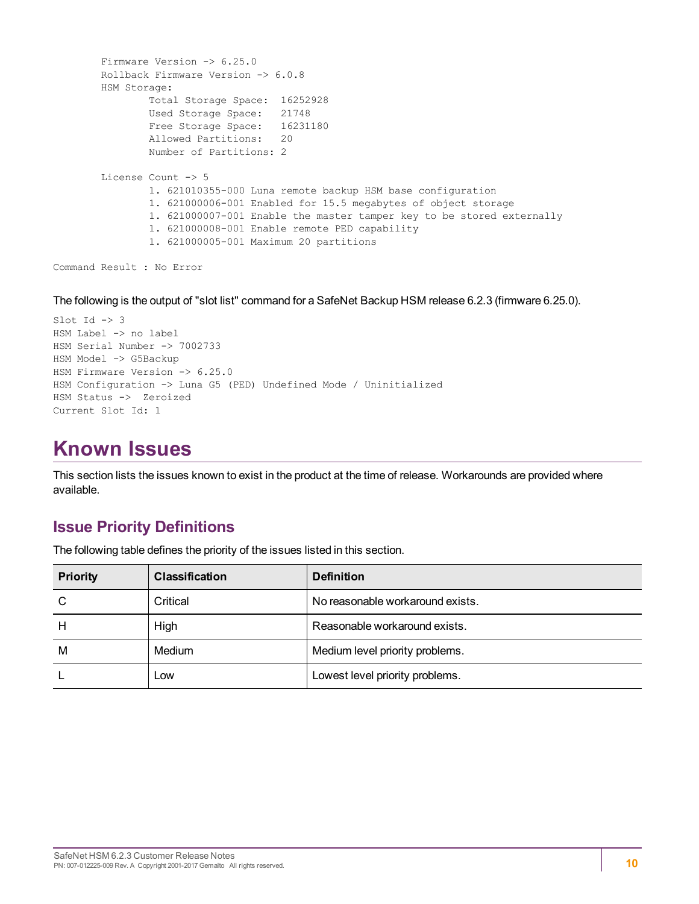```
Firmware Version -> 6.25.0
Rollback Firmware Version -> 6.0.8
HSM Storage:
        Total Storage Space: 16252928
        Used Storage Space: 21748
        Free Storage Space: 16231180
       Allowed Partitions: 20
        Number of Partitions: 2
License Count -> 5
       1. 621010355-000 Luna remote backup HSM base configuration
        1. 621000006-001 Enabled for 15.5 megabytes of object storage
        1. 621000007-001 Enable the master tamper key to be stored externally
        1. 621000008-001 Enable remote PED capability
        1. 621000005-001 Maximum 20 partitions
```

```
Command Result : No Error
```
The following is the output of "slot list" command for a SafeNet Backup HSM release 6.2.3 (firmware 6.25.0).

```
Slot Id \rightarrow 3
HSM Label -> no label
HSM Serial Number -> 7002733
HSM Model -> G5Backup
HSM Firmware Version -> 6.25.0
HSM Configuration -> Luna G5 (PED) Undefined Mode / Uninitialized
HSM Status -> Zeroized
Current Slot Id: 1
```
# <span id="page-9-0"></span>**Known Issues**

This section lists the issues known to exist in the product at the time of release. Workarounds are provided where available.

#### <span id="page-9-1"></span>**Issue Priority Definitions**

The following table defines the priority of the issues listed in this section.

| <b>Priority</b> | <b>Classification</b> | <b>Definition</b>                |
|-----------------|-----------------------|----------------------------------|
| C               | Critical              | No reasonable workaround exists. |
| H               | High                  | Reasonable workaround exists.    |
| M               | Medium                | Medium level priority problems.  |
|                 | Low                   | Lowest level priority problems.  |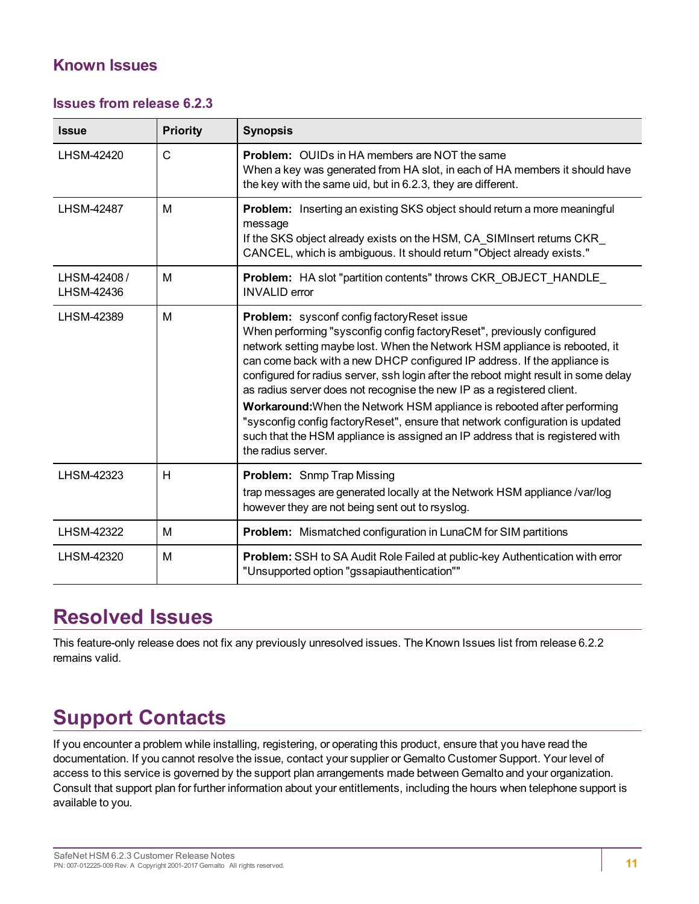### <span id="page-10-0"></span>**Known Issues**

#### **Issues from release 6.2.3**

| <b>Issue</b>              | <b>Priority</b> | <b>Synopsis</b>                                                                                                                                                                                                                                                                                                                                                                                                                                                                                                                                                                                                                                                                                                              |
|---------------------------|-----------------|------------------------------------------------------------------------------------------------------------------------------------------------------------------------------------------------------------------------------------------------------------------------------------------------------------------------------------------------------------------------------------------------------------------------------------------------------------------------------------------------------------------------------------------------------------------------------------------------------------------------------------------------------------------------------------------------------------------------------|
| LHSM-42420                | $\mathsf{C}$    | <b>Problem:</b> OUIDs in HA members are NOT the same<br>When a key was generated from HA slot, in each of HA members it should have<br>the key with the same uid, but in 6.2.3, they are different.                                                                                                                                                                                                                                                                                                                                                                                                                                                                                                                          |
| <b>LHSM-42487</b>         | M               | Problem: Inserting an existing SKS object should return a more meaningful<br>message<br>If the SKS object already exists on the HSM, CA_SIMInsert returns CKR_<br>CANCEL, which is ambiguous. It should return "Object already exists."                                                                                                                                                                                                                                                                                                                                                                                                                                                                                      |
| LHSM-42408/<br>LHSM-42436 | M               | Problem: HA slot "partition contents" throws CKR OBJECT HANDLE<br><b>INVALID</b> error                                                                                                                                                                                                                                                                                                                                                                                                                                                                                                                                                                                                                                       |
| LHSM-42389                | M               | <b>Problem:</b> sysconf config factory Reset issue<br>When performing "sysconfig config factory Reset", previously configured<br>network setting maybe lost. When the Network HSM appliance is rebooted, it<br>can come back with a new DHCP configured IP address. If the appliance is<br>configured for radius server, ssh login after the reboot might result in some delay<br>as radius server does not recognise the new IP as a registered client.<br>Workaround: When the Network HSM appliance is rebooted after performing<br>"sysconfig config factory Reset", ensure that network configuration is updated<br>such that the HSM appliance is assigned an IP address that is registered with<br>the radius server. |
| LHSM-42323                | H               | <b>Problem:</b> Snmp Trap Missing<br>trap messages are generated locally at the Network HSM appliance /var/log<br>however they are not being sent out to rsyslog.                                                                                                                                                                                                                                                                                                                                                                                                                                                                                                                                                            |
| LHSM-42322                | M               | <b>Problem:</b> Mismatched configuration in LunaCM for SIM partitions                                                                                                                                                                                                                                                                                                                                                                                                                                                                                                                                                                                                                                                        |
| LHSM-42320                | M               | Problem: SSH to SA Audit Role Failed at public-key Authentication with error<br>"Unsupported option "gssapiauthentication""                                                                                                                                                                                                                                                                                                                                                                                                                                                                                                                                                                                                  |

# <span id="page-10-1"></span>**Resolved Issues**

This feature-only release does not fix any previously unresolved issues. The Known Issues list from release 6.2.2 remains valid.

# <span id="page-10-2"></span>**Support Contacts**

If you encounter a problem while installing, registering, or operating this product, ensure that you have read the documentation. If you cannot resolve the issue, contact your supplier or Gemalto Customer Support. Your level of access to this service is governed by the support plan arrangements made between Gemalto and your organization. Consult that support plan for further information about your entitlements, including the hours when telephone support is available to you.